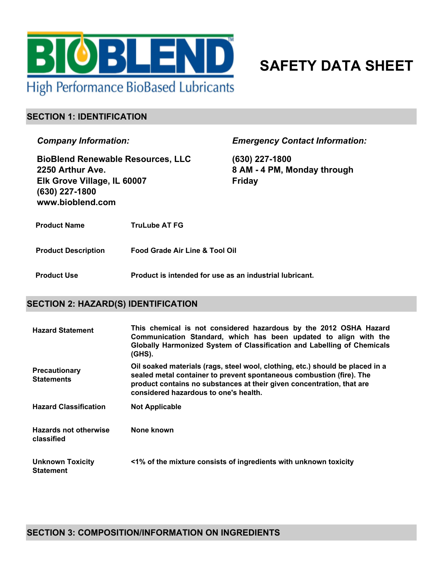

# **SAFETY DATA SHEET**

#### **SECTION 1: IDENTIFICATION**

*Company Information:*

**BioBlend Renewable Resources, LLC 2250 Arthur Ave. Elk Grove Village, IL 60007 (630) 227-1800 www.bioblend.com**

*Emergency Contact Information:*

**(630) 227-1800 8 AM - 4 PM, Monday through Friday**

**Product Name TruLube AT FG**

**Product Description Food Grade Air Line & Tool Oil**

**Product Use Product is intended for use as an industrial lubricant.**

#### **SECTION 2: HAZARD(S) IDENTIFICATION**

| <b>Hazard Statement</b>                     | This chemical is not considered hazardous by the 2012 OSHA Hazard<br>Communication Standard, which has been updated to align with the<br>Globally Harmonized System of Classification and Labelling of Chemicals<br>$(GHS)$ .                                           |
|---------------------------------------------|-------------------------------------------------------------------------------------------------------------------------------------------------------------------------------------------------------------------------------------------------------------------------|
| <b>Precautionary</b><br><b>Statements</b>   | Oil soaked materials (rags, steel wool, clothing, etc.) should be placed in a<br>sealed metal container to prevent spontaneous combustion (fire). The<br>product contains no substances at their given concentration, that are<br>considered hazardous to one's health. |
| <b>Hazard Classification</b>                | <b>Not Applicable</b>                                                                                                                                                                                                                                                   |
| <b>Hazards not otherwise</b><br>classified  | None known                                                                                                                                                                                                                                                              |
| <b>Unknown Toxicity</b><br><b>Statement</b> | <1% of the mixture consists of ingredients with unknown toxicity                                                                                                                                                                                                        |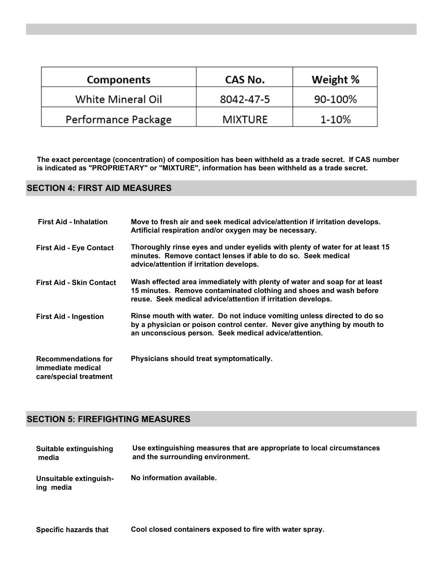| <b>Components</b>   | CAS No.        | Weight % |
|---------------------|----------------|----------|
| White Mineral Oil   | 8042-47-5      | 90-100%  |
| Performance Package | <b>MIXTURE</b> | 1-10%    |

**The exact percentage (concentration) of composition has been withheld as a trade secret. If CAS number is indicated as "PROPRIETARY" or "MIXTURE", information has been withheld as a trade secret.**

#### **SECTION 4: FIRST AID MEASURES**

| <b>First Aid - Inhalation</b>                                             | Move to fresh air and seek medical advice/attention if irritation develops.<br>Artificial respiration and/or oxygen may be necessary.                                                                           |
|---------------------------------------------------------------------------|-----------------------------------------------------------------------------------------------------------------------------------------------------------------------------------------------------------------|
| <b>First Aid - Eye Contact</b>                                            | Thoroughly rinse eyes and under eyelids with plenty of water for at least 15<br>minutes. Remove contact lenses if able to do so. Seek medical<br>advice/attention if irritation develops.                       |
| <b>First Aid - Skin Contact</b>                                           | Wash effected area immediately with plenty of water and soap for at least<br>15 minutes. Remove contaminated clothing and shoes and wash before<br>reuse. Seek medical advice/attention if irritation develops. |
| <b>First Aid - Ingestion</b>                                              | Rinse mouth with water. Do not induce vomiting unless directed to do so<br>by a physician or poison control center. Never give anything by mouth to<br>an unconscious person. Seek medical advice/attention.    |
| <b>Recommendations for</b><br>immediate medical<br>care/special treatment | Physicians should treat symptomatically.                                                                                                                                                                        |

### **SECTION 5: FIREFIGHTING MEASURES**

| Suitable extinguishing              | Use extinguishing measures that are appropriate to local circumstances |
|-------------------------------------|------------------------------------------------------------------------|
| media                               | and the surrounding environment.                                       |
| Unsuitable extinguish-<br>ing media | No information available.                                              |

**Specific hazards that Cool closed containers exposed to fire with water spray.**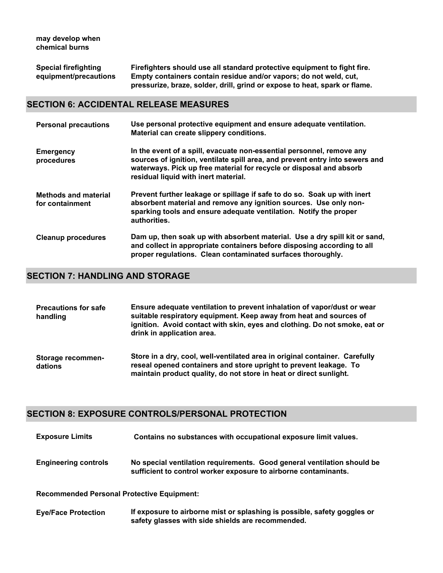| <b>Special firefighting</b> | Firefighters should use all standard protective equipment to fight fire.   |
|-----------------------------|----------------------------------------------------------------------------|
| equipment/precautions       | Empty containers contain residue and/or vapors; do not weld, cut,          |
|                             | pressurize, braze, solder, drill, grind or expose to heat, spark or flame. |

#### **SECTION 6: ACCIDENTAL RELEASE MEASURES**

| <b>Personal precautions</b>                    | Use personal protective equipment and ensure adequate ventilation.<br>Material can create slippery conditions.                                                                                                                                                       |
|------------------------------------------------|----------------------------------------------------------------------------------------------------------------------------------------------------------------------------------------------------------------------------------------------------------------------|
| <b>Emergency</b><br>procedures                 | In the event of a spill, evacuate non-essential personnel, remove any<br>sources of ignition, ventilate spill area, and prevent entry into sewers and<br>waterways. Pick up free material for recycle or disposal and absorb<br>residual liquid with inert material. |
| <b>Methods and material</b><br>for containment | Prevent further leakage or spillage if safe to do so. Soak up with inert<br>absorbent material and remove any ignition sources. Use only non-<br>sparking tools and ensure adequate ventilation. Notify the proper<br>authorities.                                   |
| <b>Cleanup procedures</b>                      | Dam up, then soak up with absorbent material. Use a dry spill kit or sand,<br>and collect in appropriate containers before disposing according to all<br>proper regulations. Clean contaminated surfaces thoroughly.                                                 |

# **SECTION 7: HANDLING AND STORAGE**

| <b>Precautions for safe</b><br>handling | Ensure adequate ventilation to prevent inhalation of vapor/dust or wear<br>suitable respiratory equipment. Keep away from heat and sources of<br>ignition. Avoid contact with skin, eyes and clothing. Do not smoke, eat or<br>drink in application area. |
|-----------------------------------------|-----------------------------------------------------------------------------------------------------------------------------------------------------------------------------------------------------------------------------------------------------------|
| Storage recommen-<br>dations            | Store in a dry, cool, well-ventilated area in original container. Carefully<br>reseal opened containers and store upright to prevent leakage. To<br>maintain product quality, do not store in heat or direct sunlight.                                    |

#### **SECTION 8: EXPOSURE CONTROLS/PERSONAL PROTECTION**

| <b>Exposure Limits</b>                            | Contains no substances with occupational exposure limit values.                                                                            |
|---------------------------------------------------|--------------------------------------------------------------------------------------------------------------------------------------------|
| <b>Engineering controls</b>                       | No special ventilation requirements. Good general ventilation should be<br>sufficient to control worker exposure to airborne contaminants. |
| <b>Recommended Personal Protective Equipment:</b> |                                                                                                                                            |

**Eye/Face Protection If exposure to airborne mist or splashing is possible, safety goggles or safety glasses with side shields are recommended.**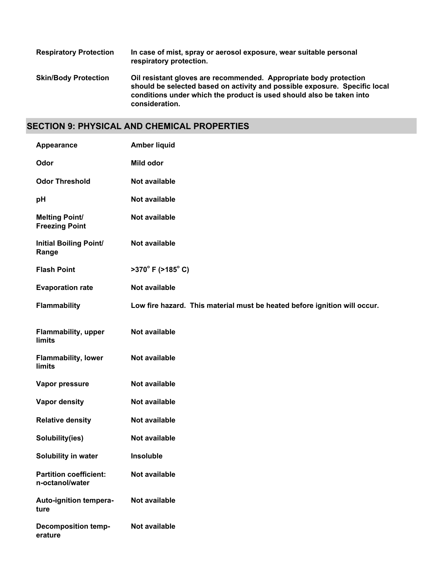| <b>Respiratory Protection</b> | In case of mist, spray or aerosol exposure, wear suitable personal<br>respiratory protection.                                                                                                                                             |
|-------------------------------|-------------------------------------------------------------------------------------------------------------------------------------------------------------------------------------------------------------------------------------------|
| <b>Skin/Body Protection</b>   | Oil resistant gloves are recommended. Appropriate body protection<br>should be selected based on activity and possible exposure. Specific local<br>conditions under which the product is used should also be taken into<br>consideration. |

## **SECTION 9: PHYSICAL AND CHEMICAL PROPERTIES**

| Appearance                                       | <b>Amber liquid</b>                                                       |
|--------------------------------------------------|---------------------------------------------------------------------------|
| Odor                                             | Mild odor                                                                 |
| <b>Odor Threshold</b>                            | Not available                                                             |
| pH                                               | Not available                                                             |
| <b>Melting Point/</b><br><b>Freezing Point</b>   | Not available                                                             |
| <b>Initial Boiling Point/</b><br>Range           | Not available                                                             |
| <b>Flash Point</b>                               | $>370^{\circ}$ F ( $>185^{\circ}$ C)                                      |
| <b>Evaporation rate</b>                          | Not available                                                             |
| Flammability                                     | Low fire hazard. This material must be heated before ignition will occur. |
| <b>Flammability, upper</b><br>limits             | Not available                                                             |
| <b>Flammability, lower</b><br>limits             | Not available                                                             |
| Vapor pressure                                   | Not available                                                             |
| <b>Vapor density</b>                             | Not available                                                             |
| <b>Relative density</b>                          | Not available                                                             |
| Solubility(ies)                                  | Not available                                                             |
| Solubility in water                              | Insoluble                                                                 |
| <b>Partition coefficient:</b><br>n-octanol/water | Not available                                                             |
| Auto-ignition tempera-<br>ture                   | Not available                                                             |
| <b>Decomposition temp-</b><br>erature            | Not available                                                             |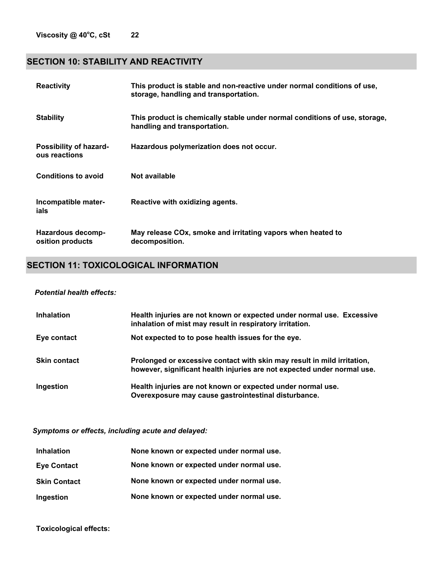## **SECTION 10: STABILITY AND REACTIVITY**

| <b>Reactivity</b>                       | This product is stable and non-reactive under normal conditions of use,<br>storage, handling and transportation. |
|-----------------------------------------|------------------------------------------------------------------------------------------------------------------|
| <b>Stability</b>                        | This product is chemically stable under normal conditions of use, storage,<br>handling and transportation.       |
| Possibility of hazard-<br>ous reactions | Hazardous polymerization does not occur.                                                                         |
| <b>Conditions to avoid</b>              | Not available                                                                                                    |
| Incompatible mater-<br>ials             | Reactive with oxidizing agents.                                                                                  |
| Hazardous decomp-<br>osition products   | May release COx, smoke and irritating vapors when heated to<br>decomposition.                                    |

# **SECTION 11: TOXICOLOGICAL INFORMATION**

#### *Potential health effects:*

| <b>Inhalation</b>   | Health injuries are not known or expected under normal use. Excessive<br>inhalation of mist may result in respiratory irritation.                  |
|---------------------|----------------------------------------------------------------------------------------------------------------------------------------------------|
| Eye contact         | Not expected to to pose health issues for the eye.                                                                                                 |
| <b>Skin contact</b> | Prolonged or excessive contact with skin may result in mild irritation,<br>however, significant health injuries are not expected under normal use. |
| Ingestion           | Health injuries are not known or expected under normal use.<br>Overexposure may cause gastrointestinal disturbance.                                |

*Symptoms or effects, including acute and delayed:*

| <b>Inhalation</b>   | None known or expected under normal use. |
|---------------------|------------------------------------------|
| <b>Eye Contact</b>  | None known or expected under normal use. |
| <b>Skin Contact</b> | None known or expected under normal use. |
| Ingestion           | None known or expected under normal use. |

**Toxicological effects:**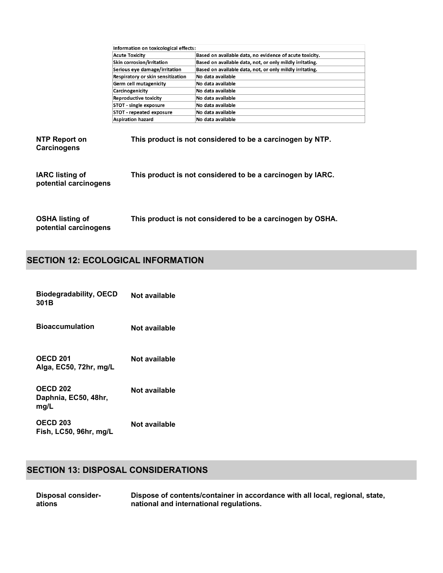|                                                 | Information on toxicological effects: |                                                            |
|-------------------------------------------------|---------------------------------------|------------------------------------------------------------|
|                                                 | <b>Acute Toxicity</b>                 | Based on available data, no evidence of acute toxicity.    |
|                                                 | Skin corrosion/irritation             | Based on available data, not, or only mildly irritating.   |
|                                                 | Serious eye damage/irritation         | Based on available data, not, or only mildly irritating.   |
|                                                 | Respiratory or skin sensitization     | No data available                                          |
|                                                 | Germ cell mutagenicity                | No data available                                          |
|                                                 | Carcinogenicity                       | No data available                                          |
|                                                 | <b>Reproductive toxicity</b>          | No data available                                          |
|                                                 | STOT - single exposure                | No data available                                          |
|                                                 | STOT - repeated exposure              | No data available                                          |
|                                                 | <b>Aspiration hazard</b>              | No data available                                          |
| NTP Report on<br>Carcinogens                    |                                       | This product is not considered to be a carcinogen by NTP.  |
| <b>IARC</b> listing of<br>potential carcinogens |                                       | This product is not considered to be a carcinogen by IARC. |
| <b>OSHA listing of</b>                          |                                       | This product is not considered to be a carcinogen by OSHA. |

# **SECTION 12: ECOLOGICAL INFORMATION**

**potential carcinogens**

| <b>Biodegradability, OECD</b><br>301B           | Not available |
|-------------------------------------------------|---------------|
| <b>Bioaccumulation</b>                          | Not available |
| <b>OECD 201</b><br>Alga, EC50, 72hr, mg/L       | Not available |
| <b>OECD 202</b><br>Daphnia, EC50, 48hr,<br>mg/L | Not available |
| <b>OECD 203</b><br>Fish, LC50, 96hr, mg/L       | Not available |

# **SECTION 13: DISPOSAL CONSIDERATIONS**

| <b>Disposal consider-</b> | Dispose of contents/container in accordance with all local, regional, state, |
|---------------------------|------------------------------------------------------------------------------|
| ations                    | national and international regulations.                                      |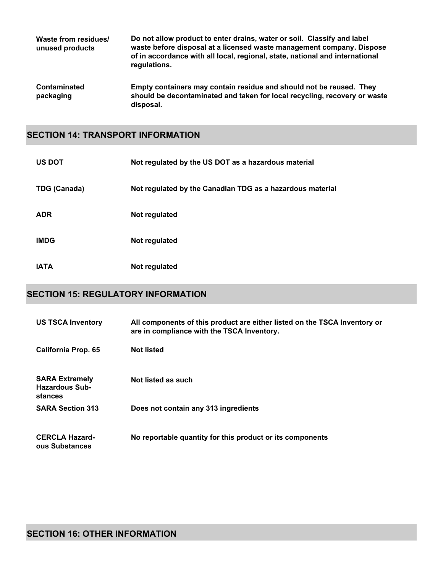| Waste from residues/<br>unused products | Do not allow product to enter drains, water or soil. Classify and label<br>waste before disposal at a licensed waste management company. Dispose<br>of in accordance with all local, regional, state, national and international<br>regulations. |
|-----------------------------------------|--------------------------------------------------------------------------------------------------------------------------------------------------------------------------------------------------------------------------------------------------|
| <b>Contaminated</b><br>packaging        | Empty containers may contain residue and should not be reused. They<br>should be decontaminated and taken for local recycling, recovery or waste<br>disposal.                                                                                    |

#### **SECTION 14: TRANSPORT INFORMATION**

| <b>US DOT</b>       | Not regulated by the US DOT as a hazardous material       |
|---------------------|-----------------------------------------------------------|
| <b>TDG (Canada)</b> | Not regulated by the Canadian TDG as a hazardous material |
| <b>ADR</b>          | Not regulated                                             |
| <b>IMDG</b>         | Not regulated                                             |
| <b>IATA</b>         | Not regulated                                             |

# **SECTION 15: REGULATORY INFORMATION**

| <b>US TSCA Inventory</b>                                  | All components of this product are either listed on the TSCA Inventory or<br>are in compliance with the TSCA Inventory. |
|-----------------------------------------------------------|-------------------------------------------------------------------------------------------------------------------------|
| California Prop. 65                                       | <b>Not listed</b>                                                                                                       |
| <b>SARA Extremely</b><br><b>Hazardous Sub-</b><br>stances | Not listed as such                                                                                                      |
| <b>SARA Section 313</b>                                   | Does not contain any 313 ingredients                                                                                    |
| <b>CERCLA Hazard-</b><br>ous Substances                   | No reportable quantity for this product or its components                                                               |